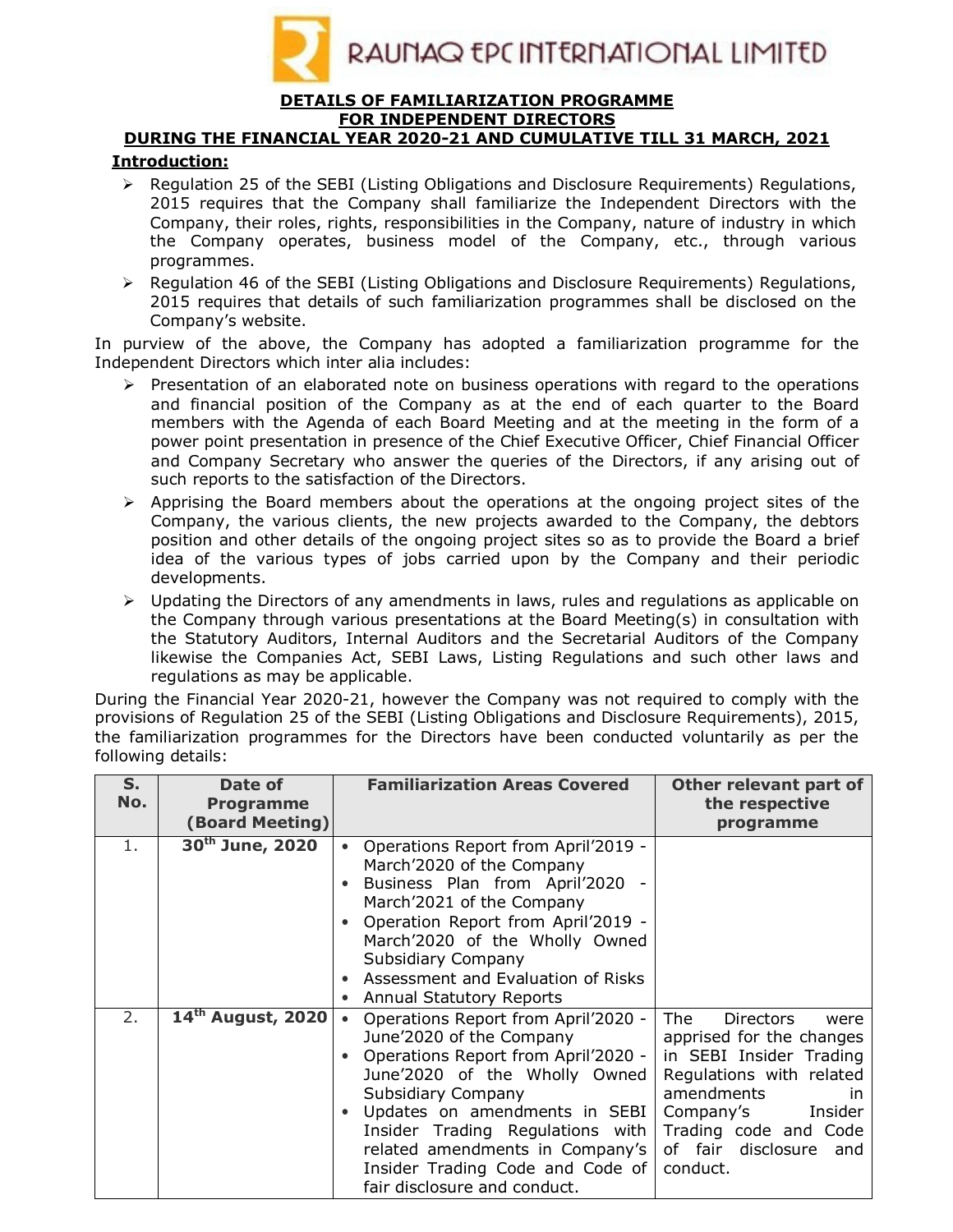

## **DETAILS OF FAMILIARIZATION PROGRAMME FOR INDEPENDENT DIRECTORS**

## **DURING THE FINANCIAL YEAR 2020-21 AND CUMULATIVE TILL 31 MARCH, 2021 Introduction:**

- $\triangleright$  Regulation 25 of the SEBI (Listing Obligations and Disclosure Reguirements) Regulations, 2015 requires that the Company shall familiarize the Independent Directors with the Company, their roles, rights, responsibilities in the Company, nature of industry in which the Company operates, business model of the Company, etc., through various programmes.
- $\triangleright$  Regulation 46 of the SEBI (Listing Obligations and Disclosure Requirements) Regulations, 2015 requires that details of such familiarization programmes shall be disclosed on the Company's website.

In purview of the above, the Company has adopted a familiarization programme for the Independent Directors which inter alia includes:

- $\triangleright$  Presentation of an elaborated note on business operations with regard to the operations and financial position of the Company as at the end of each quarter to the Board members with the Agenda of each Board Meeting and at the meeting in the form of a power point presentation in presence of the Chief Executive Officer, Chief Financial Officer and Company Secretary who answer the queries of the Directors, if any arising out of such reports to the satisfaction of the Directors.
- $\triangleright$  Apprising the Board members about the operations at the ongoing project sites of the Company, the various clients, the new projects awarded to the Company, the debtors position and other details of the ongoing project sites so as to provide the Board a brief idea of the various types of jobs carried upon by the Company and their periodic developments.
- $\triangleright$  Updating the Directors of any amendments in laws, rules and regulations as applicable on the Company through various presentations at the Board Meeting(s) in consultation with the Statutory Auditors, Internal Auditors and the Secretarial Auditors of the Company likewise the Companies Act, SEBI Laws, Listing Regulations and such other laws and regulations as may be applicable.

During the Financial Year 2020-21, however the Company was not required to comply with the provisions of Regulation 25 of the SEBI (Listing Obligations and Disclosure Requirements), 2015, the familiarization programmes for the Directors have been conducted voluntarily as per the following details:

| S.<br>No. | Date of<br><b>Programme</b><br><b>(Board Meeting)</b> | <b>Familiarization Areas Covered</b>                                                                                                                                                                                                                                                                                                                   | Other relevant part of<br>the respective<br>programme                                                                                                                                                                            |
|-----------|-------------------------------------------------------|--------------------------------------------------------------------------------------------------------------------------------------------------------------------------------------------------------------------------------------------------------------------------------------------------------------------------------------------------------|----------------------------------------------------------------------------------------------------------------------------------------------------------------------------------------------------------------------------------|
| 1.        | 30 <sup>th</sup> June, 2020                           | Operations Report from April'2019 -<br>March'2020 of the Company<br>Business Plan from April'2020 -<br>March'2021 of the Company<br>Operation Report from April'2019 -<br>March'2020 of the Wholly Owned<br>Subsidiary Company<br>Assessment and Evaluation of Risks<br>Annual Statutory Reports                                                       |                                                                                                                                                                                                                                  |
| 2.        | 14 <sup>th</sup> August, 2020                         | Operations Report from April'2020 -<br>$\bullet$<br>June'2020 of the Company<br>Operations Report from April'2020 -<br>June'2020 of the Wholly Owned<br>Subsidiary Company<br>Updates on amendments in SEBI<br>Insider Trading Regulations with<br>related amendments in Company's<br>Insider Trading Code and Code of<br>fair disclosure and conduct. | The<br><b>Directors</b><br>were<br>apprised for the changes<br>in SEBI Insider Trading<br>Regulations with related<br>amendments<br>ın<br>Insider<br>Company's<br>Trading code and Code<br>of fair disclosure<br>and<br>conduct. |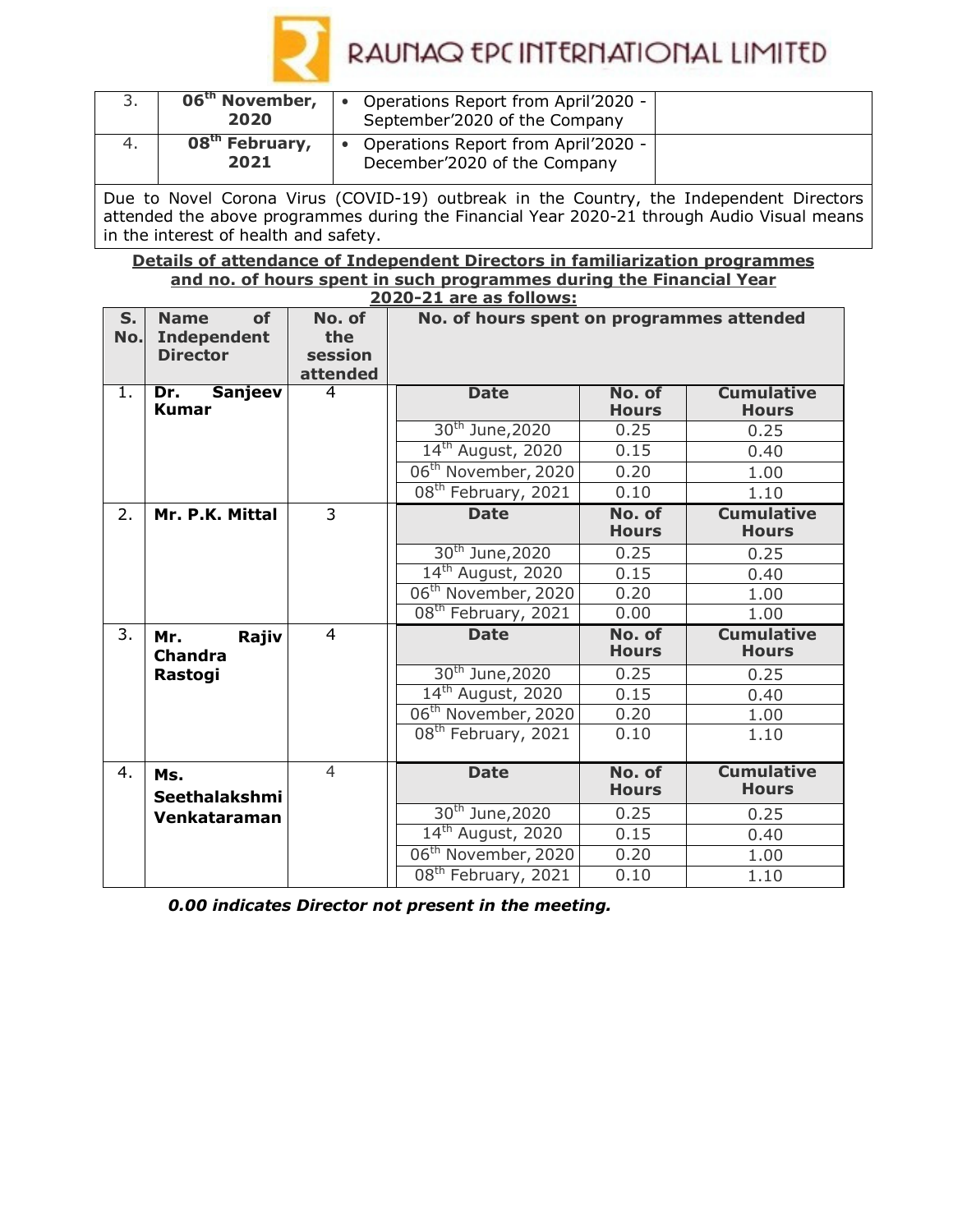

|    | 06 <sup>th</sup> November,<br>2020 | Operations Report from April'2020 -<br>September'2020 of the Company |  |
|----|------------------------------------|----------------------------------------------------------------------|--|
| 4. | 08 <sup>th</sup> February,<br>2021 | Operations Report from April'2020 -<br>December'2020 of the Company  |  |

Due to Novel Corona Virus (COVID-19) outbreak in the Country, the Independent Directors attended the above programmes during the Financial Year 2020-21 through Audio Visual means in the interest of health and safety.

**Details of attendance of Independent Directors in familiarization programmes and no. of hours spent in such programmes during the Financial Year 2020-21 are as follows:**

|         | ZUZU-ZI dre ds idliuws:        |                |                                           |              |                   |  |
|---------|--------------------------------|----------------|-------------------------------------------|--------------|-------------------|--|
| $S_{1}$ | of<br><b>Name</b>              | No. of         | No. of hours spent on programmes attended |              |                   |  |
| No.     | <b>Independent</b>             | the            |                                           |              |                   |  |
|         | <b>Director</b>                | session        |                                           |              |                   |  |
|         |                                | attended       |                                           |              |                   |  |
| 1.      | <b>Sanjeev</b><br>Dr.          | 4              | <b>Date</b>                               | No. of       | <b>Cumulative</b> |  |
|         | Kumar                          |                |                                           | <b>Hours</b> | <b>Hours</b>      |  |
|         |                                |                | 30 <sup>th</sup> June, 2020               | 0.25         | 0.25              |  |
|         |                                |                | 14 <sup>th</sup> August, 2020             | 0.15         | 0.40              |  |
|         |                                |                | 06 <sup>th</sup> November, 2020           | 0.20         | 1.00              |  |
|         |                                |                | 08 <sup>th</sup> February, 2021           | 0.10         | 1.10              |  |
| 2.      | Mr. P.K. Mittal                | $\overline{3}$ | <b>Date</b>                               | No. of       | <b>Cumulative</b> |  |
|         |                                |                |                                           | <b>Hours</b> | <b>Hours</b>      |  |
|         |                                |                | 30 <sup>th</sup> June, 2020               | 0.25         | 0.25              |  |
|         |                                |                | 14 <sup>th</sup> August, 2020             | 0.15         | 0.40              |  |
|         |                                |                | 06 <sup>th</sup> November, 2020           | 0.20         | 1.00              |  |
|         |                                |                | 08 <sup>th</sup> February, 2021           | 0.00         | 1.00              |  |
| 3.      | $\overline{4}$<br>Mr.<br>Rajiv |                | <b>Date</b>                               | No. of       | <b>Cumulative</b> |  |
|         | <b>Chandra</b><br>Rastogi      |                |                                           | <b>Hours</b> | <b>Hours</b>      |  |
|         |                                |                | 30 <sup>th</sup> June, 2020               | 0.25         | 0.25              |  |
|         |                                |                | 14 <sup>th</sup> August, 2020             | 0.15         | 0.40              |  |
|         |                                |                | 06 <sup>th</sup> November, 2020           | 0.20         | 1.00              |  |
|         |                                |                | 08 <sup>th</sup> February, 2021           | 0.10         | 1.10              |  |
|         |                                |                |                                           |              |                   |  |
| 4.      | Ms.                            | $\overline{4}$ | <b>Date</b>                               | No. of       | <b>Cumulative</b> |  |
|         | Seethalakshmi                  |                |                                           | <b>Hours</b> | <b>Hours</b>      |  |
|         | Venkataraman                   |                | 30 <sup>th</sup> June, 2020               | 0.25         | 0.25              |  |
|         |                                |                | 14 <sup>th</sup> August, 2020             | 0.15         | 0.40              |  |
|         |                                |                | 06 <sup>th</sup> November, 2020           | 0.20         | 1.00              |  |
|         |                                |                | 08 <sup>th</sup> February, 2021           | 0.10         | 1.10              |  |

*0.00 indicates Director not present in the meeting.*